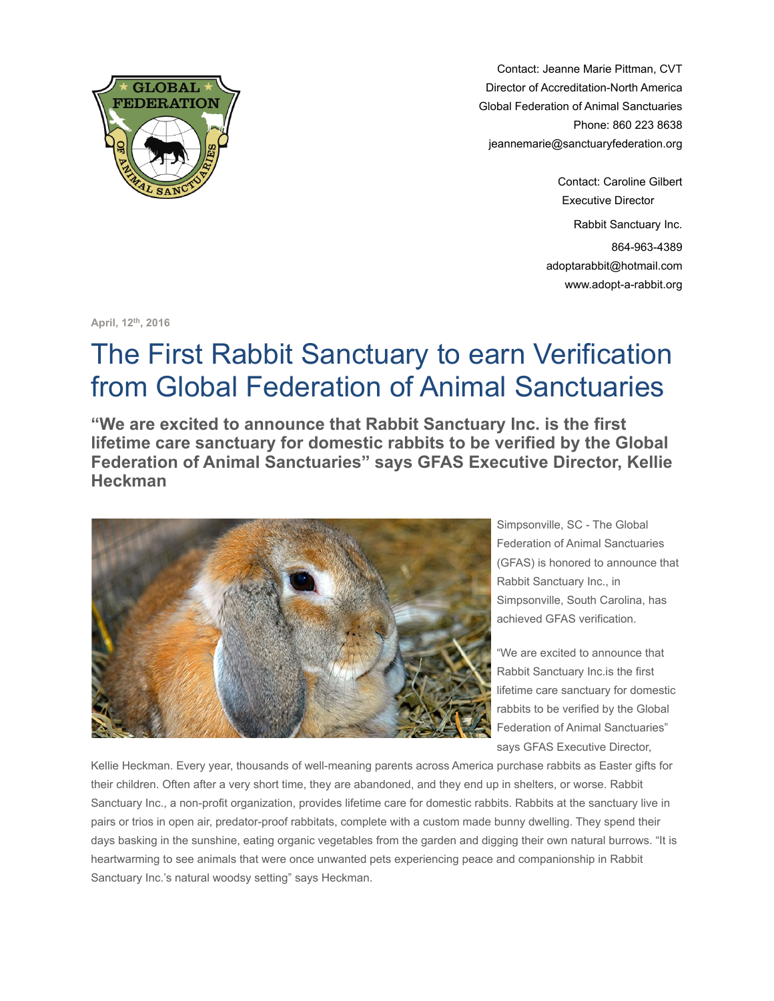

Contact: Jeanne Marie Pittman, CVT Director of Accreditation-North America Global Federation of Animal Sanctuaries Phone: 860 223 8638 [jeannemarie@sanctuaryfederation.org](mailto:daryl@sanctuaryfederation.org)

> Contact: Caroline Gilbert Executive Director Rabbit Sanctuary Inc. 864-963-4389 adoptarabbit@hotmail.com www.adopt-a-rabbit.org

**April, 12th, 2016**

## The First Rabbit Sanctuary to earn Verification from Global Federation of Animal Sanctuaries

**"We are excited to announce that Rabbit Sanctuary Inc. is the first lifetime care sanctuary for domestic rabbits to be verified by the Global Federation of Animal Sanctuaries" says GFAS Executive Director, Kellie Heckman**



Simpsonville, SC - The Global Federation of Animal Sanctuaries (GFAS) is honored to announce that Rabbit Sanctuary Inc., in Simpsonville, South Carolina, has achieved GFAS verification.

"We are excited to announce that Rabbit Sanctuary Inc.is the first lifetime care sanctuary for domestic rabbits to be verified by the Global Federation of Animal Sanctuaries" says GFAS Executive Director,

Kellie Heckman. Every year, thousands of well-meaning parents across America purchase rabbits as Easter gifts for their children. Often after a very short time, they are abandoned, and they end up in shelters, or worse. Rabbit Sanctuary Inc., a non-profit organization, provides lifetime care for domestic rabbits. Rabbits at the sanctuary live in pairs or trios in open air, predator-proof rabbitats, complete with a custom made bunny dwelling. They spend their days basking in the sunshine, eating organic vegetables from the garden and digging their own natural burrows. "It is heartwarming to see animals that were once unwanted pets experiencing peace and companionship in Rabbit Sanctuary Inc.'s natural woodsy setting" says Heckman.